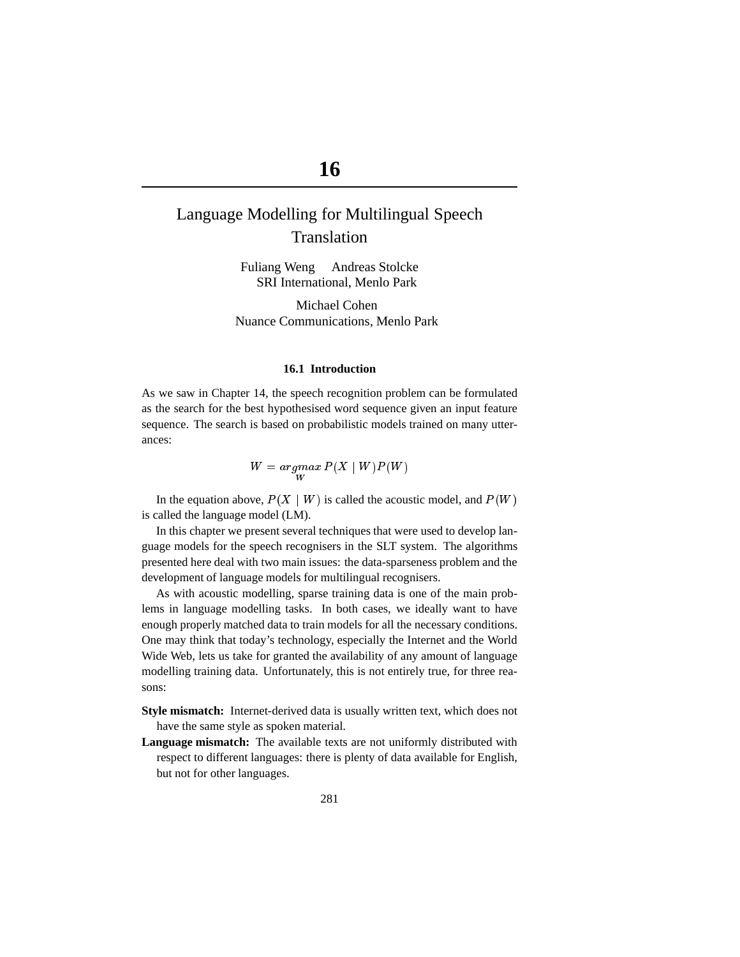# **16**

# Language Modelling for Multilingual Speech Translation

Fuliang Weng Andreas Stolcke SRI International, Menlo Park

Michael Cohen Nuance Communications, Menlo Park

## **16.1 Introduction**

As we saw in Chapter 14, the speech recognition problem can be formulated as the search for the best hypothesised word sequence given an input feature sequence. The search is based on probabilistic models trained on many utterances:

$$
W = \underset{W}{argmax} P(X \mid W)P(W)
$$

In the equation above,  $P(X \mid W)$  is called the acoustic model, and  $P(W)$ is called the language model (LM).

In this chapter we present several techniques that were used to develop language models for the speech recognisers in the SLT system. The algorithms presented here deal with two main issues: the data-sparseness problem and the development of language models for multilingual recognisers.

As with acoustic modelling, sparse training data is one of the main problems in language modelling tasks. In both cases, we ideally want to have enough properly matched data to train models for all the necessary conditions. One may think that today's technology, especially the Internet and the World Wide Web, lets us take for granted the availability of any amount of language modelling training data. Unfortunately, this is not entirely true, for three reasons:

- **Style mismatch:** Internet-derived data is usually written text, which does not have the same style as spoken material.
- **Language mismatch:** The available texts are not uniformly distributed with respect to different languages: there is plenty of data available for English, but not for other languages.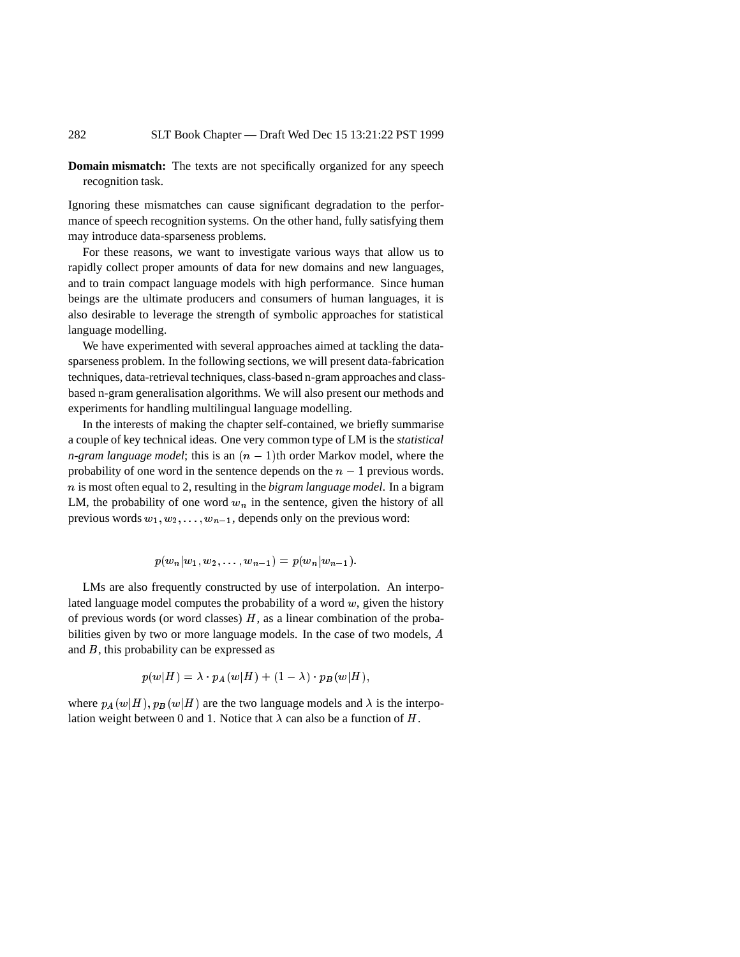**Domain mismatch:** The texts are not specifically organized for any speech recognition task.

Ignoring these mismatches can cause significant degradation to the performance of speech recognition systems. On the other hand, fully satisfying them may introduce data-sparseness problems.

For these reasons, we want to investigate various ways that allow us to rapidly collect proper amounts of data for new domains and new languages, and to train compact language models with high performance. Since human beings are the ultimate producers and consumers of human languages, it is also desirable to leverage the strength of symbolic approaches for statistical language modelling.

We have experimented with several approaches aimed at tackling the datasparseness problem. In the following sections, we will present data-fabrication techniques, data-retrieval techniques, class-based n-gram approaches and classbased n-gram generalisation algorithms. We will also present our methods and experiments for handling multilingual language modelling.

In the interests of making the chapter self-contained, we briefly summarise a couple of key technical ideas. One very common type of LM is the *statistical n-gram language model*; this is an  $(n - 1)$ th order Markov model, where the probability of one word in the sentence depends on the  $n - 1$  previous words. n is most often equal to 2, resulting in the *bigram language model*. In a bigram LM, the probability of one word  $w_n$  in the sentence, given the history of all previous words  $w_1, w_2, \ldots, w_{n-1}$ , depends only on the previous word:

$$
p(w_n|w_1, w_2, \ldots, w_{n-1}) = p(w_n|w_{n-1}).
$$

LMs are also frequently constructed by use of interpolation. An interpolated language model computes the probability of a word  $w$ , given the history of previous words (or word classes)  $H$ , as a linear combination of the probabilities given by two or more language models. In the case of two models, <sup>A</sup> and B, this probability can be expressed as

$$
p(w|H) = \lambda \cdot p_A(w|H) + (1-\lambda) \cdot p_B(w|H),
$$

where  $p_A(w|H)$ ,  $p_B(w|H)$  are the two language models and  $\lambda$  is the interpolation weight between 0 and 1. Notice that  $\lambda$  can also be a function of H.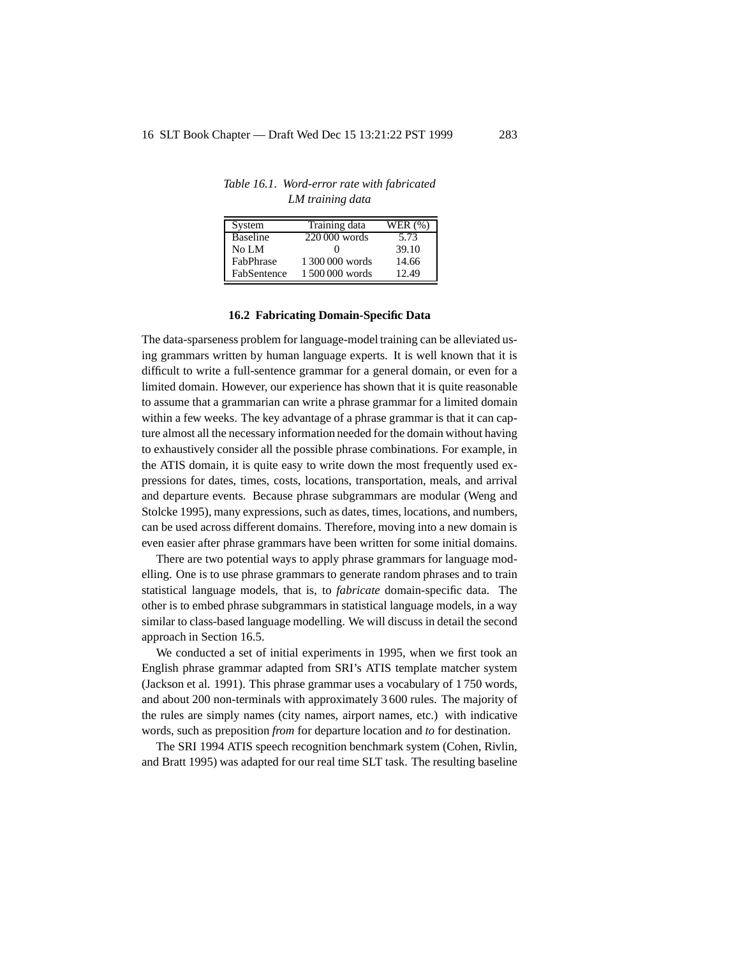| System          | Training data   | WER (%) |
|-----------------|-----------------|---------|
| <b>Baseline</b> | 220 000 words   | 5.73    |
| No LM           | 0               | 39.10   |
| FabPhrase       | 1.300.000 words | 14.66   |
| FabSentence     | 1500000 words   | 12.49   |

*Table 16.1. Word-error rate with fabricated LM training data*

#### **16.2 Fabricating Domain-Specific Data**

The data-sparseness problem for language-model training can be alleviated using grammars written by human language experts. It is well known that it is difficult to write a full-sentence grammar for a general domain, or even for a limited domain. However, our experience has shown that it is quite reasonable to assume that a grammarian can write a phrase grammar for a limited domain within a few weeks. The key advantage of a phrase grammar is that it can capture almost all the necessary information needed for the domain without having to exhaustively consider all the possible phrase combinations. For example, in the ATIS domain, it is quite easy to write down the most frequently used expressions for dates, times, costs, locations, transportation, meals, and arrival and departure events. Because phrase subgrammars are modular (Weng and Stolcke 1995), many expressions, such as dates, times, locations, and numbers, can be used across different domains. Therefore, moving into a new domain is even easier after phrase grammars have been written for some initial domains.

There are two potential ways to apply phrase grammars for language modelling. One is to use phrase grammars to generate random phrases and to train statistical language models, that is, to *fabricate* domain-specific data. The other is to embed phrase subgrammars in statistical language models, in a way similar to class-based language modelling. We will discuss in detail the second approach in Section 16.5.

We conducted a set of initial experiments in 1995, when we first took an English phrase grammar adapted from SRI's ATIS template matcher system (Jackson et al. 1991). This phrase grammar uses a vocabulary of 1 750 words, and about 200 non-terminals with approximately 3 600 rules. The majority of the rules are simply names (city names, airport names, etc.) with indicative words, such as preposition *from* for departure location and *to* for destination.

The SRI 1994 ATIS speech recognition benchmark system (Cohen, Rivlin, and Bratt 1995) was adapted for our real time SLT task. The resulting baseline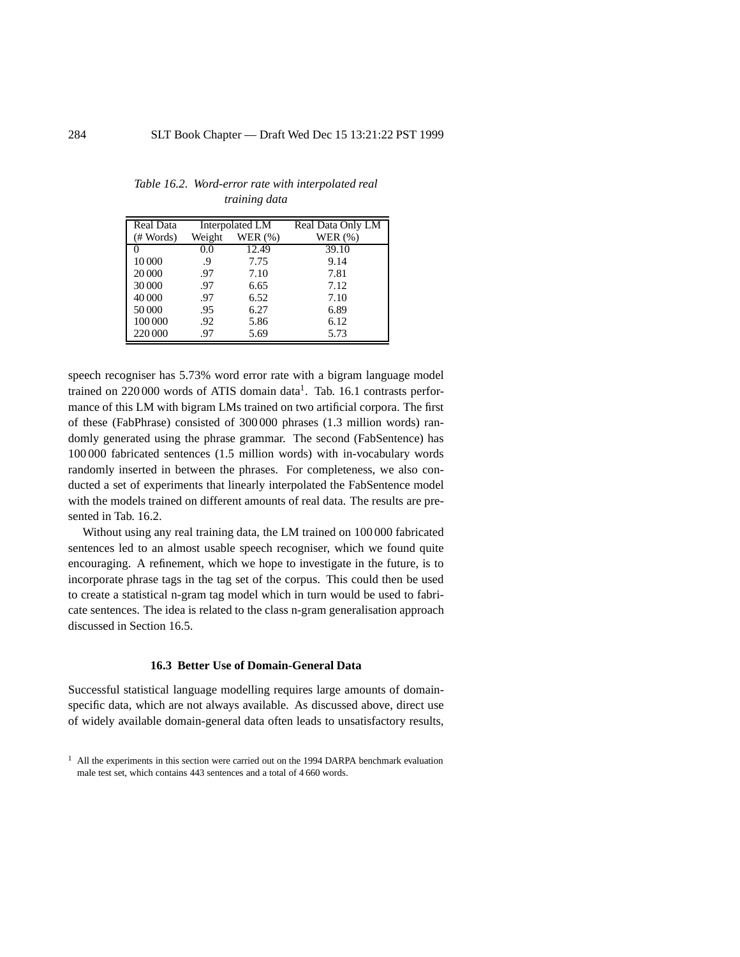| Real Data |        | Interpolated LM | Real Data Only LM |
|-----------|--------|-----------------|-------------------|
| # Words)  | Weight | WER $(%)$       | WER $(\%)$        |
| 0         | 0.0    | 12.49           | 39.10             |
| 10 000    | .9     | 7.75            | 9.14              |
| 20 000    | .97    | 7.10            | 7.81              |
| 30 000    | .97    | 6.65            | 7.12              |
| 40 000    | .97    | 6.52            | 7.10              |
| 50 000    | .95    | 6.27            | 6.89              |
| 100 000   | .92    | 5.86            | 6.12              |
| 220 000   | .97    | 5.69            | 5.73              |

*Table 16.2. Word-error rate with interpolated real training data*

speech recogniser has 5.73% word error rate with a bigram language model trained on 220 000 words of ATIS domain data<sup>1</sup>. Tab. 16.1 contrasts performance of this LM with bigram LMs trained on two artificial corpora. The first of these (FabPhrase) consisted of 300 000 phrases (1.3 million words) randomly generated using the phrase grammar. The second (FabSentence) has 100 000 fabricated sentences (1.5 million words) with in-vocabulary words randomly inserted in between the phrases. For completeness, we also conducted a set of experiments that linearly interpolated the FabSentence model with the models trained on different amounts of real data. The results are presented in Tab. 16.2.

Without using any real training data, the LM trained on 100 000 fabricated sentences led to an almost usable speech recogniser, which we found quite encouraging. A refinement, which we hope to investigate in the future, is to incorporate phrase tags in the tag set of the corpus. This could then be used to create a statistical n-gram tag model which in turn would be used to fabricate sentences. The idea is related to the class n-gram generalisation approach discussed in Section 16.5.

## **16.3 Better Use of Domain-General Data**

Successful statistical language modelling requires large amounts of domainspecific data, which are not always available. As discussed above, direct use of widely available domain-general data often leads to unsatisfactory results,

 $<sup>1</sup>$  All the experiments in this section were carried out on the 1994 DARPA benchmark evaluation</sup> male test set, which contains 443 sentences and a total of 4 660 words.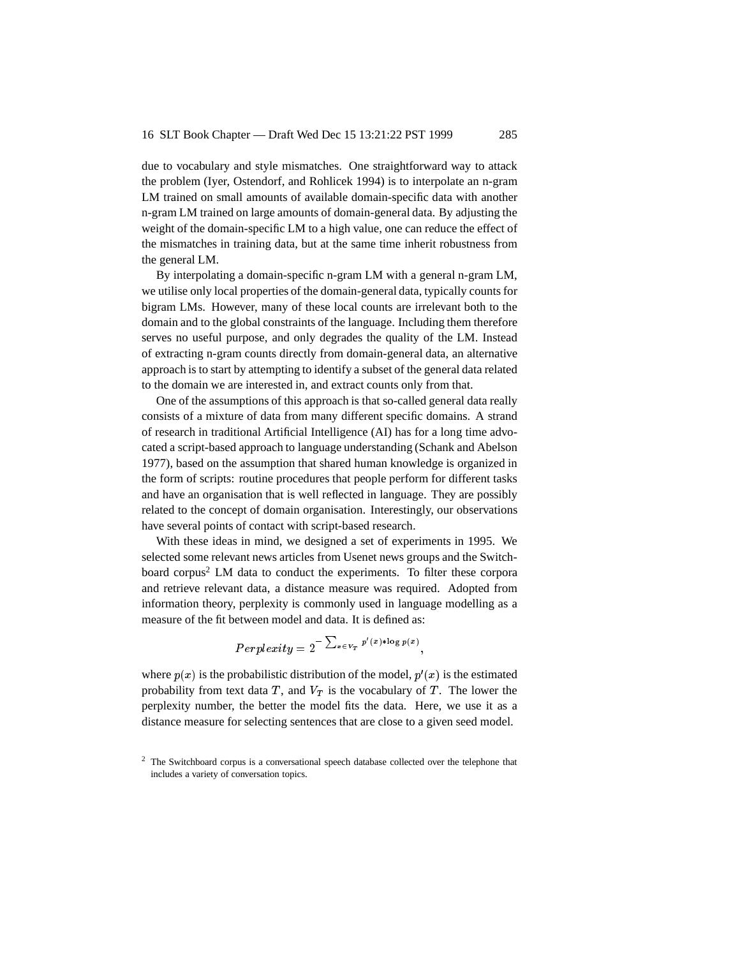due to vocabulary and style mismatches. One straightforward way to attack the problem (Iyer, Ostendorf, and Rohlicek 1994) is to interpolate an n-gram LM trained on small amounts of available domain-specific data with another n-gram LM trained on large amounts of domain-general data. By adjusting the weight of the domain-specific LM to a high value, one can reduce the effect of the mismatches in training data, but at the same time inherit robustness from the general LM.

By interpolating a domain-specific n-gram LM with a general n-gram LM, we utilise only local properties of the domain-general data, typically counts for bigram LMs. However, many of these local counts are irrelevant both to the domain and to the global constraints of the language. Including them therefore serves no useful purpose, and only degrades the quality of the LM. Instead of extracting n-gram counts directly from domain-general data, an alternative approach is to start by attempting to identify a subset of the general data related to the domain we are interested in, and extract counts only from that.

One of the assumptions of this approach is that so-called general data really consists of a mixture of data from many different specific domains. A strand of research in traditional Artificial Intelligence (AI) has for a long time advocated a script-based approach to language understanding (Schank and Abelson 1977), based on the assumption that shared human knowledge is organized in the form of scripts: routine procedures that people perform for different tasks and have an organisation that is well reflected in language. They are possibly related to the concept of domain organisation. Interestingly, our observations have several points of contact with script-based research.

With these ideas in mind, we designed a set of experiments in 1995. We selected some relevant news articles from Usenet news groups and the Switchboard corpus<sup>2</sup> LM data to conduct the experiments. To filter these corpora and retrieve relevant data, a distance measure was required. Adopted from information theory, perplexity is commonly used in language modelling as a measure of the fit between model and data. It is defined as:

$$
Perplexity = 2^{-\sum_{x \in V_T} p'(x) * \log p(x)},
$$

where  $p(x)$  is the probabilistic distribution of the model,  $p'(x)$  is the estimated probability from text data  $T$ , and  $V_T$  is the vocabulary of  $T$ . The lower the perplexity number, the better the model fits the data. Here, we use it as a distance measure for selecting sentences that are close to a given seed model.

<sup>&</sup>lt;sup>2</sup> The Switchboard corpus is a conversational speech database collected over the telephone that includes a variety of conversation topics.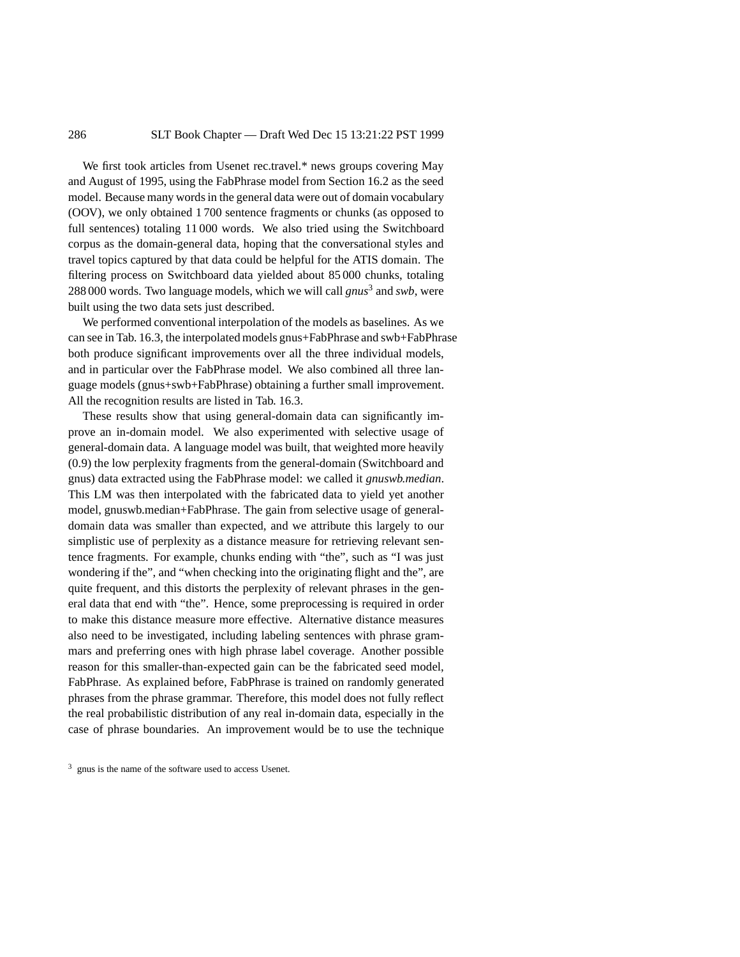We first took articles from Usenet rec.travel.\* news groups covering May and August of 1995, using the FabPhrase model from Section 16.2 as the seed model. Because many words in the general data were out of domain vocabulary (OOV), we only obtained 1 700 sentence fragments or chunks (as opposed to full sentences) totaling 11 000 words. We also tried using the Switchboard corpus as the domain-general data, hoping that the conversational styles and travel topics captured by that data could be helpful for the ATIS domain. The filtering process on Switchboard data yielded about 85 000 chunks, totaling 288 000 words. Two language models, which we will call *gnus*<sup>3</sup> and *swb*, were built using the two data sets just described.

We performed conventional interpolation of the models as baselines. As we can see in Tab. 16.3, the interpolated models gnus+FabPhrase and swb+FabPhrase both produce significant improvements over all the three individual models, and in particular over the FabPhrase model. We also combined all three language models (gnus+swb+FabPhrase) obtaining a further small improvement. All the recognition results are listed in Tab. 16.3.

These results show that using general-domain data can significantly improve an in-domain model. We also experimented with selective usage of general-domain data. A language model was built, that weighted more heavily (0.9) the low perplexity fragments from the general-domain (Switchboard and gnus) data extracted using the FabPhrase model: we called it *gnuswb.median*. This LM was then interpolated with the fabricated data to yield yet another model, gnuswb.median+FabPhrase. The gain from selective usage of generaldomain data was smaller than expected, and we attribute this largely to our simplistic use of perplexity as a distance measure for retrieving relevant sentence fragments. For example, chunks ending with "the", such as "I was just wondering if the", and "when checking into the originating flight and the", are quite frequent, and this distorts the perplexity of relevant phrases in the general data that end with "the". Hence, some preprocessing is required in order to make this distance measure more effective. Alternative distance measures also need to be investigated, including labeling sentences with phrase grammars and preferring ones with high phrase label coverage. Another possible reason for this smaller-than-expected gain can be the fabricated seed model, FabPhrase. As explained before, FabPhrase is trained on randomly generated phrases from the phrase grammar. Therefore, this model does not fully reflect the real probabilistic distribution of any real in-domain data, especially in the case of phrase boundaries. An improvement would be to use the technique

<sup>3</sup> gnus is the name of the software used to access Usenet.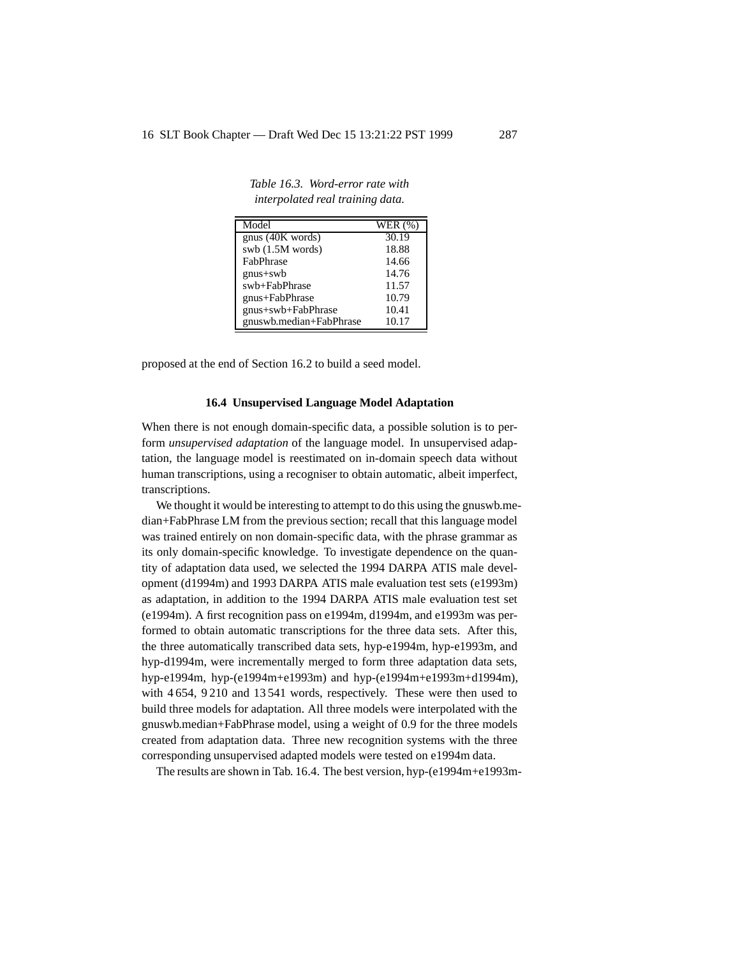| Model                   | <b>WER</b> (%) |
|-------------------------|----------------|
| gnus (40K words)        | 30.19          |
| swb $(1.5M$ words)      | 18.88          |
| FabPhrase               | 14.66          |
| $gnus+swb$              | 14.76          |
| swb+FabPhrase           | 11.57          |
| gnus+FabPhrase          | 10.79          |
| gnus+swb+FabPhrase      | 10.41          |
| gnuswb.median+FabPhrase | 10.17          |

*Table 16.3. Word-error rate with interpolated real training data.*

proposed at the end of Section 16.2 to build a seed model.

### **16.4 Unsupervised Language Model Adaptation**

When there is not enough domain-specific data, a possible solution is to perform *unsupervised adaptation* of the language model. In unsupervised adaptation, the language model is reestimated on in-domain speech data without human transcriptions, using a recogniser to obtain automatic, albeit imperfect, transcriptions.

We thought it would be interesting to attempt to do this using the gnuswb.median+FabPhrase LM from the previous section; recall that this language model was trained entirely on non domain-specific data, with the phrase grammar as its only domain-specific knowledge. To investigate dependence on the quantity of adaptation data used, we selected the 1994 DARPA ATIS male development (d1994m) and 1993 DARPA ATIS male evaluation test sets (e1993m) as adaptation, in addition to the 1994 DARPA ATIS male evaluation test set (e1994m). A first recognition pass on e1994m, d1994m, and e1993m was performed to obtain automatic transcriptions for the three data sets. After this, the three automatically transcribed data sets, hyp-e1994m, hyp-e1993m, and hyp-d1994m, were incrementally merged to form three adaptation data sets, hyp-e1994m, hyp-(e1994m+e1993m) and hyp-(e1994m+e1993m+d1994m), with 4 654, 9 210 and 13 541 words, respectively. These were then used to build three models for adaptation. All three models were interpolated with the gnuswb.median+FabPhrase model, using a weight of 0.9 for the three models created from adaptation data. Three new recognition systems with the three corresponding unsupervised adapted models were tested on e1994m data.

The results are shown in Tab. 16.4. The best version, hyp-(e1994m+e1993m-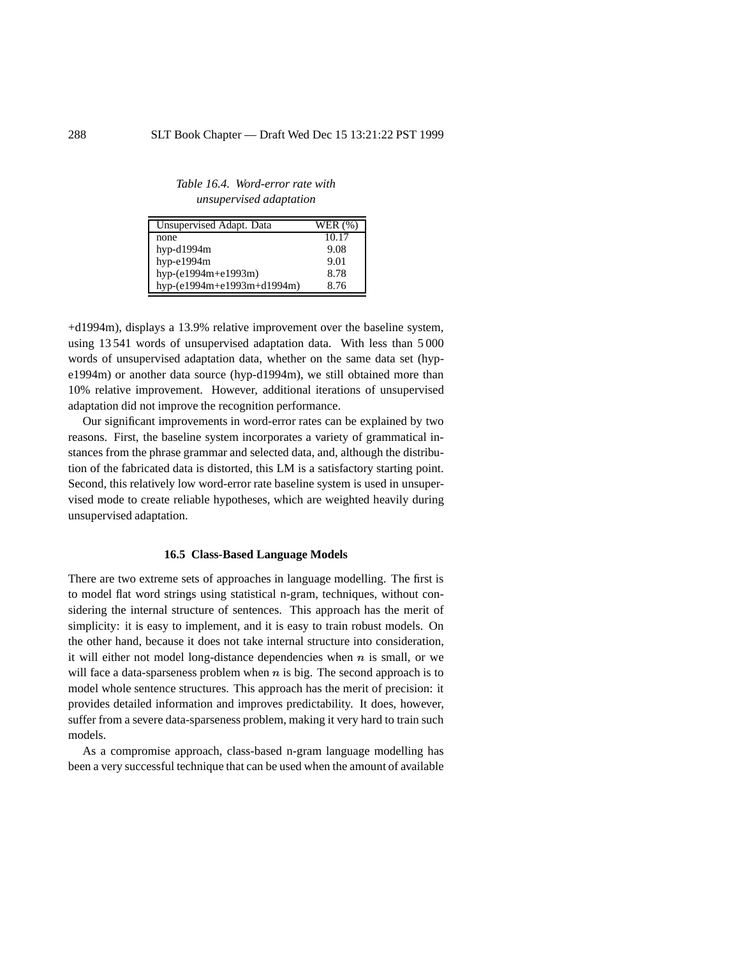*Table 16.4. Word-error rate with unsupervised adaptation*

| Unsupervised Adapt. Data   | WER (%) |
|----------------------------|---------|
| none                       | 10.17   |
| hyp-d1994m                 | 9.08    |
| hyp-e1994m                 | 9.01    |
| hyp-(e1994m+e1993m)        | 8.78    |
| hyp-(e1994m+e1993m+d1994m) | 8.76    |

+d1994m), displays a 13.9% relative improvement over the baseline system, using 13 541 words of unsupervised adaptation data. With less than 5 000 words of unsupervised adaptation data, whether on the same data set (hype1994m) or another data source (hyp-d1994m), we still obtained more than 10% relative improvement. However, additional iterations of unsupervised adaptation did not improve the recognition performance.

Our significant improvements in word-error rates can be explained by two reasons. First, the baseline system incorporates a variety of grammatical instances from the phrase grammar and selected data, and, although the distribution of the fabricated data is distorted, this LM is a satisfactory starting point. Second, this relatively low word-error rate baseline system is used in unsupervised mode to create reliable hypotheses, which are weighted heavily during unsupervised adaptation.

#### **16.5 Class-Based Language Models**

There are two extreme sets of approaches in language modelling. The first is to model flat word strings using statistical n-gram, techniques, without considering the internal structure of sentences. This approach has the merit of simplicity: it is easy to implement, and it is easy to train robust models. On the other hand, because it does not take internal structure into consideration, it will either not model long-distance dependencies when  $n$  is small, or we will face a data-sparseness problem when  $n$  is big. The second approach is to model whole sentence structures. This approach has the merit of precision: it provides detailed information and improves predictability. It does, however, suffer from a severe data-sparseness problem, making it very hard to train such models.

As a compromise approach, class-based n-gram language modelling has been a very successful technique that can be used when the amount of available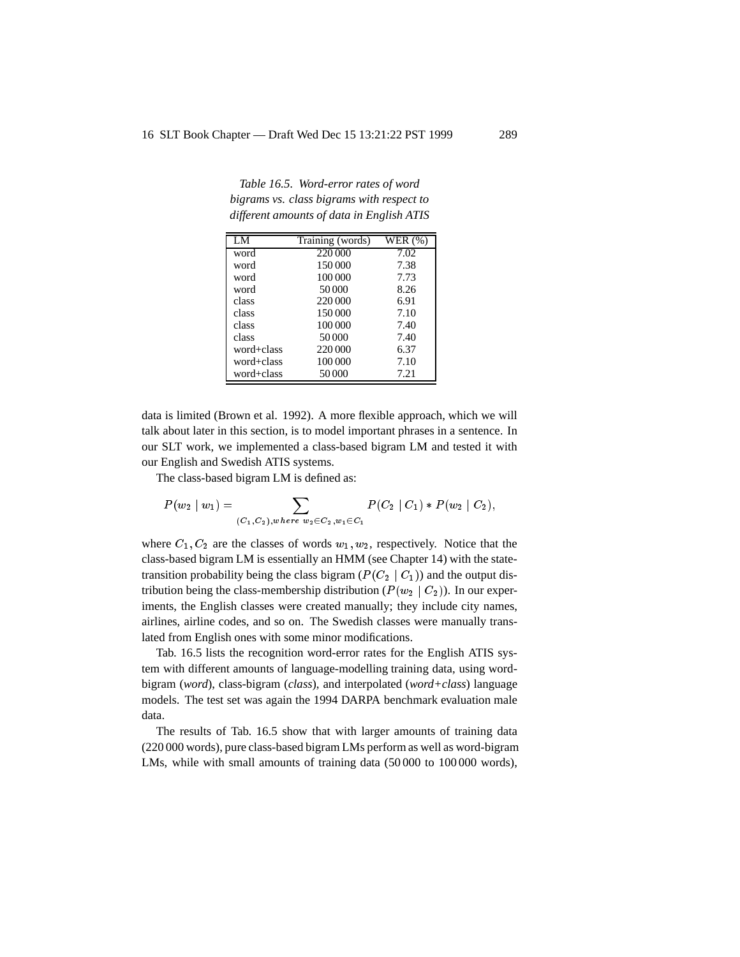*Table 16.5. Word-error rates of word bigrams vs. class bigrams with respect to different amounts of data in English ATIS*

| LM         | Training (words) | WER (%) |
|------------|------------------|---------|
| word       | 220 000          | 7.02    |
| word       | 150 000          | 7.38    |
| word       | 100 000          | 7.73    |
| word       | 50000            | 8.26    |
| class      | 220 000          | 6.91    |
| class      | 150 000          | 7.10    |
| class      | 100 000          | 7.40    |
| class      | 50000            | 7.40    |
| word+class | 220 000          | 6.37    |
| word+class | 100 000          | 7.10    |
| word+class | 50000            | 7.21    |

data is limited (Brown et al. 1992). A more flexible approach, which we will talk about later in this section, is to model important phrases in a sentence. In our SLT work, we implemented a class-based bigram LM and tested it with our English and Swedish ATIS systems.

The class-based bigram LM is defined as:

$$
P(w_2 | w_1) = \sum_{(C_1, C_2), where \ w_2 \in C_2, w_1 \in C_1} P(C_2 | C_1) * P(w_2 | C_2),
$$

where  $C_1, C_2$  are the classes of words  $w_1, w_2$ , respectively. Notice that the class-based bigram LM is essentially an HMM (see Chapter 14) with the statetransition probability being the class bigram ( $P(C_2 | C_1)$ ) and the output distribution being the class-membership distribution ( $P(w_2 | C_2)$ ). In our experiments, the English classes were created manually; they include city names, airlines, airline codes, and so on. The Swedish classes were manually translated from English ones with some minor modifications.

Tab. 16.5 lists the recognition word-error rates for the English ATIS system with different amounts of language-modelling training data, using wordbigram (*word*), class-bigram (*class*), and interpolated (*word+class*) language models. The test set was again the 1994 DARPA benchmark evaluation male data.

The results of Tab. 16.5 show that with larger amounts of training data (220 000 words), pure class-based bigram LMs perform as well as word-bigram LMs, while with small amounts of training data (50 000 to 100 000 words),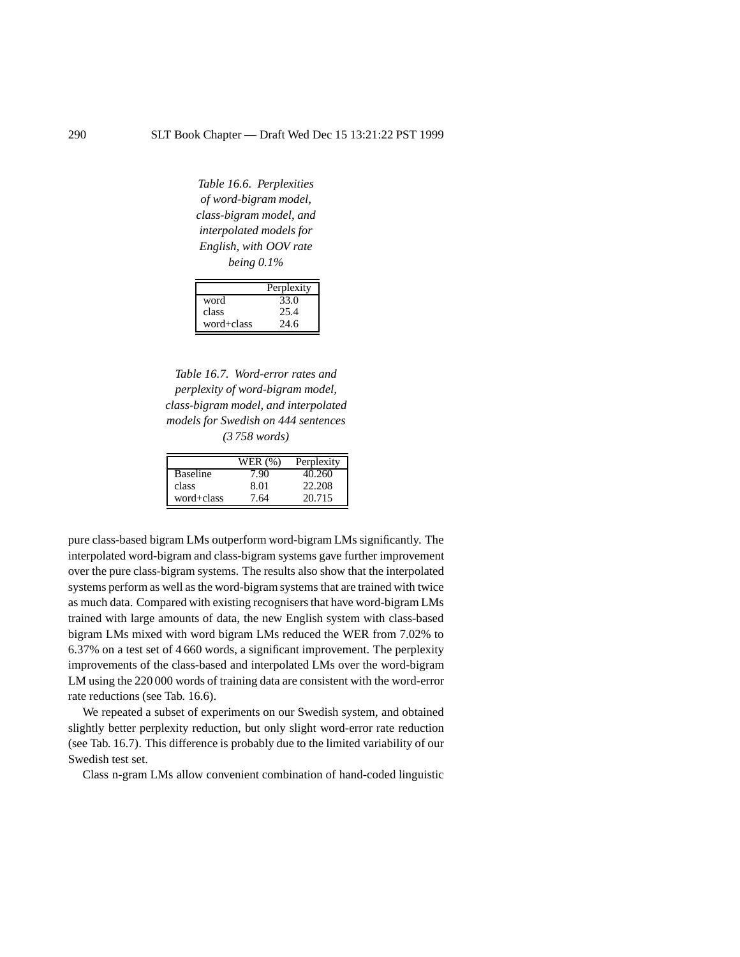*Table 16.6. Perplexities of word-bigram model, class-bigram model, and interpolated models for English, with OOV rate being 0.1%*

|            | Perplexity |
|------------|------------|
| word       | 33.0       |
| class      | 25.4       |
| word+class | 24.6       |

*Table 16.7. Word-error rates and perplexity of word-bigram model, class-bigram model, and interpolated models for Swedish on 444 sentences (3 758 words)*

|                 | WER (%) | Perplexity |
|-----------------|---------|------------|
| <b>Baseline</b> | ' 90    | 40.260     |
| class           | 8.01    | 22.208     |
| word+class      | 7.64    | 20.715     |

pure class-based bigram LMs outperform word-bigram LMs significantly. The interpolated word-bigram and class-bigram systems gave further improvement over the pure class-bigram systems. The results also show that the interpolated systems perform as well as the word-bigram systems that are trained with twice as much data. Compared with existing recognisers that have word-bigram LMs trained with large amounts of data, the new English system with class-based bigram LMs mixed with word bigram LMs reduced the WER from 7.02% to 6.37% on a test set of 4 660 words, a significant improvement. The perplexity improvements of the class-based and interpolated LMs over the word-bigram LM using the 220 000 words of training data are consistent with the word-error rate reductions (see Tab. 16.6).

We repeated a subset of experiments on our Swedish system, and obtained slightly better perplexity reduction, but only slight word-error rate reduction (see Tab. 16.7). This difference is probably due to the limited variability of our Swedish test set.

Class n-gram LMs allow convenient combination of hand-coded linguistic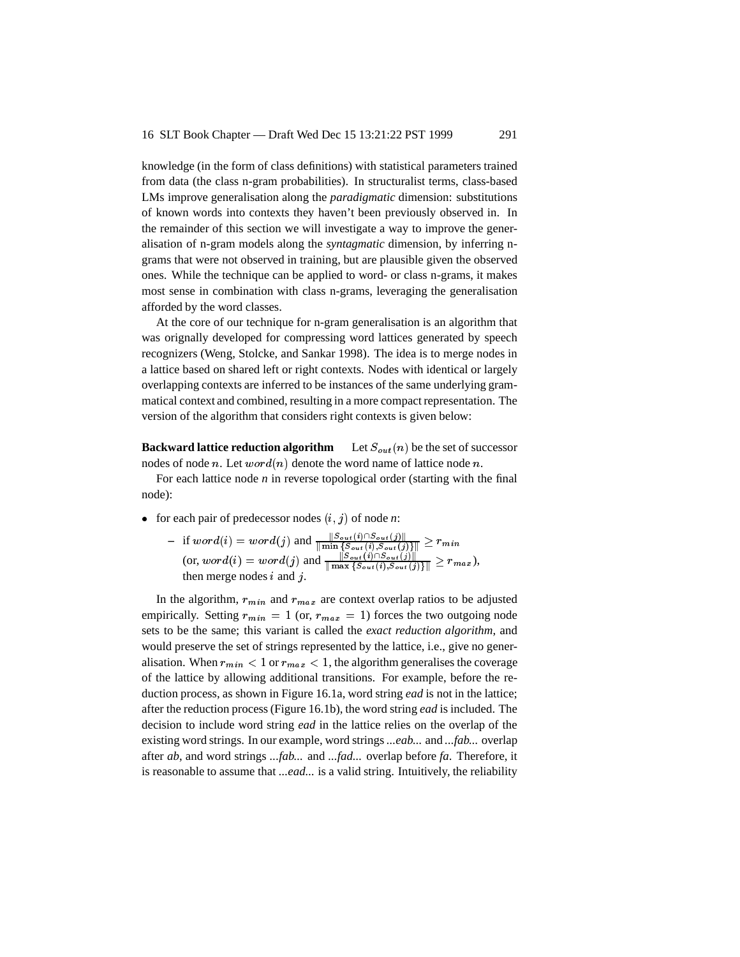knowledge (in the form of class definitions) with statistical parameters trained from data (the class n-gram probabilities). In structuralist terms, class-based LMs improve generalisation along the *paradigmatic* dimension: substitutions of known words into contexts they haven't been previously observed in. In the remainder of this section we will investigate a way to improve the generalisation of n-gram models along the *syntagmatic* dimension, by inferring ngrams that were not observed in training, but are plausible given the observed ones. While the technique can be applied to word- or class n-grams, it makes most sense in combination with class n-grams, leveraging the generalisation afforded by the word classes.

At the core of our technique for n-gram generalisation is an algorithm that was orignally developed for compressing word lattices generated by speech recognizers (Weng, Stolcke, and Sankar 1998). The idea is to merge nodes in a lattice based on shared left or right contexts. Nodes with identical or largely overlapping contexts are inferred to be instances of the same underlying grammatical context and combined, resulting in a more compact representation. The version of the algorithm that considers right contexts is given below:

**Backward lattice reduction algorithm** Let  $S_{out}(n)$  be the set of successor nodes of node n. Let  $word(n)$  denote the word name of lattice node n.

For each lattice node *n* in reverse topological order (starting with the final node):

- for each pair of predecessor nodes  $(i, j)$  of node *n*:
	- $-$  if  $word(i) = word(j)$  and  $\frac{\|S_{out}(i) \cap S_{out}(j)\|}{\| \min \{S_{out}(i), S_{out}(j)\} \|} \geq r_{min}$  $($ or,  $word(i) = word(j)$  and  $\frac{\|S_{out}(i) \cap S_{out}(j)\|}{\|\max\{S_{out}(i),S_{out}(j)\}\|} \geq r_{max}$ ), then merge nodes  $i$  and  $j$ .

In the algorithm,  $r_{min}$  and  $r_{max}$  are context overlap ratios to be adjusted empirically. Setting  $r_{min} = 1$  (or,  $r_{max} = 1$ ) forces the two outgoing node sets to be the same; this variant is called the *exact reduction algorithm*, and would preserve the set of strings represented by the lattice, i.e., give no generalisation. When  $r_{min} < 1$  or  $r_{max} < 1$ , the algorithm generalises the coverage of the lattice by allowing additional transitions. For example, before the reduction process, as shown in Figure 16.1a, word string *ead* is not in the lattice; after the reduction process (Figure 16.1b), the word string *ead* is included. The decision to include word string *ead* in the lattice relies on the overlap of the existing word strings. In our example, word strings*...eab...* and *...fab...* overlap after *ab*, and word strings *...fab...* and *...fad...* overlap before *fa*. Therefore, it is reasonable to assume that *...ead...* is a valid string. Intuitively, the reliability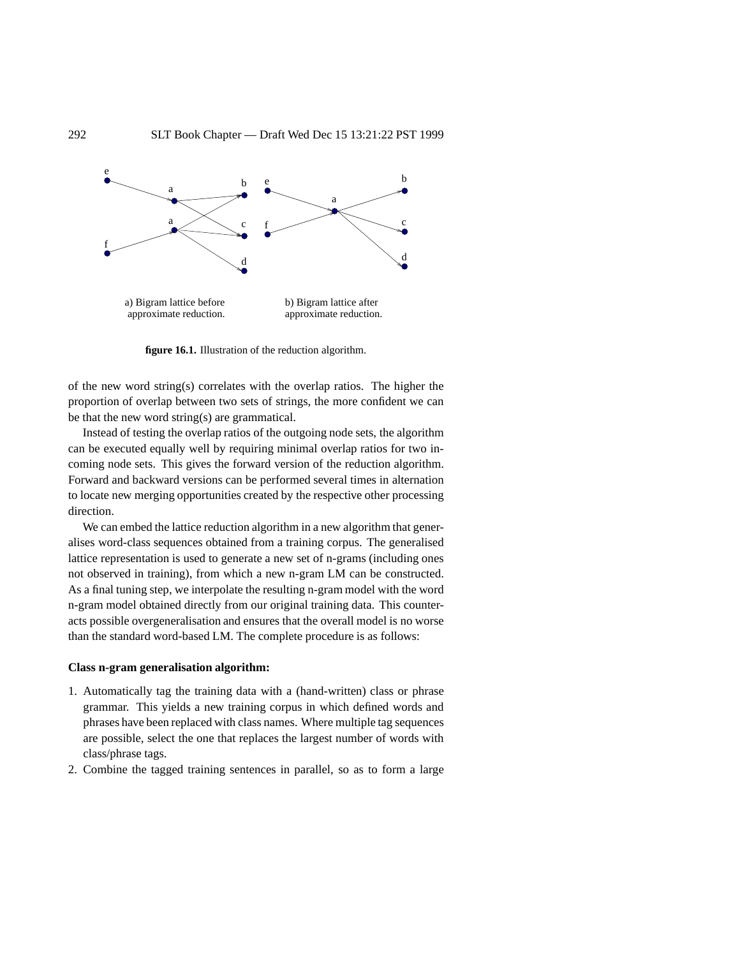

**figure 16.1.** Illustration of the reduction algorithm.

of the new word string(s) correlates with the overlap ratios. The higher the proportion of overlap between two sets of strings, the more confident we can be that the new word string(s) are grammatical.

Instead of testing the overlap ratios of the outgoing node sets, the algorithm can be executed equally well by requiring minimal overlap ratios for two incoming node sets. This gives the forward version of the reduction algorithm. Forward and backward versions can be performed several times in alternation to locate new merging opportunities created by the respective other processing direction.

We can embed the lattice reduction algorithm in a new algorithm that generalises word-class sequences obtained from a training corpus. The generalised lattice representation is used to generate a new set of n-grams (including ones not observed in training), from which a new n-gram LM can be constructed. As a final tuning step, we interpolate the resulting n-gram model with the word n-gram model obtained directly from our original training data. This counteracts possible overgeneralisation and ensures that the overall model is no worse than the standard word-based LM. The complete procedure is as follows:

### **Class n-gram generalisation algorithm:**

- 1. Automatically tag the training data with a (hand-written) class or phrase grammar. This yields a new training corpus in which defined words and phrases have been replaced with class names. Where multiple tag sequences are possible, select the one that replaces the largest number of words with class/phrase tags.
- 2. Combine the tagged training sentences in parallel, so as to form a large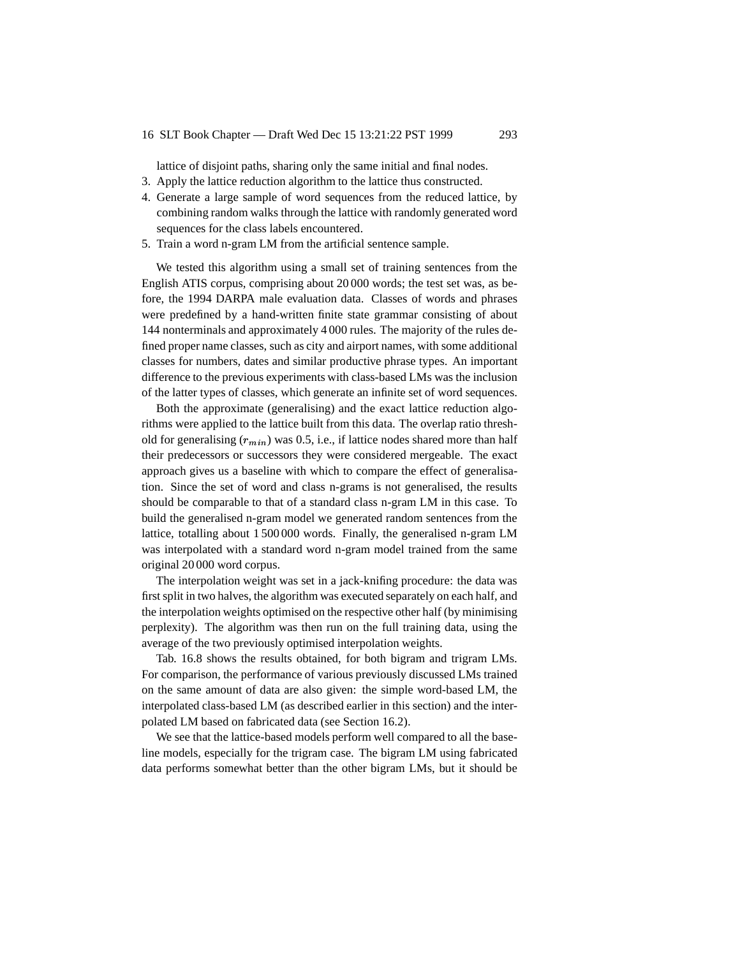lattice of disjoint paths, sharing only the same initial and final nodes.

- 3. Apply the lattice reduction algorithm to the lattice thus constructed.
- 4. Generate a large sample of word sequences from the reduced lattice, by combining random walks through the lattice with randomly generated word sequences for the class labels encountered.
- 5. Train a word n-gram LM from the artificial sentence sample.

We tested this algorithm using a small set of training sentences from the English ATIS corpus, comprising about 20 000 words; the test set was, as before, the 1994 DARPA male evaluation data. Classes of words and phrases were predefined by a hand-written finite state grammar consisting of about 144 nonterminals and approximately 4 000 rules. The majority of the rules defined proper name classes, such as city and airport names, with some additional classes for numbers, dates and similar productive phrase types. An important difference to the previous experiments with class-based LMs was the inclusion of the latter types of classes, which generate an infinite set of word sequences.

Both the approximate (generalising) and the exact lattice reduction algorithms were applied to the lattice built from this data. The overlap ratio threshold for generalising  $(r_{min})$  was 0.5, i.e., if lattice nodes shared more than half their predecessors or successors they were considered mergeable. The exact approach gives us a baseline with which to compare the effect of generalisation. Since the set of word and class n-grams is not generalised, the results should be comparable to that of a standard class n-gram LM in this case. To build the generalised n-gram model we generated random sentences from the lattice, totalling about 1 500 000 words. Finally, the generalised n-gram LM was interpolated with a standard word n-gram model trained from the same original 20 000 word corpus.

The interpolation weight was set in a jack-knifing procedure: the data was first split in two halves, the algorithm was executed separately on each half, and the interpolation weights optimised on the respective other half (by minimising perplexity). The algorithm was then run on the full training data, using the average of the two previously optimised interpolation weights.

Tab. 16.8 shows the results obtained, for both bigram and trigram LMs. For comparison, the performance of various previously discussed LMs trained on the same amount of data are also given: the simple word-based LM, the interpolated class-based LM (as described earlier in this section) and the interpolated LM based on fabricated data (see Section 16.2).

We see that the lattice-based models perform well compared to all the baseline models, especially for the trigram case. The bigram LM using fabricated data performs somewhat better than the other bigram LMs, but it should be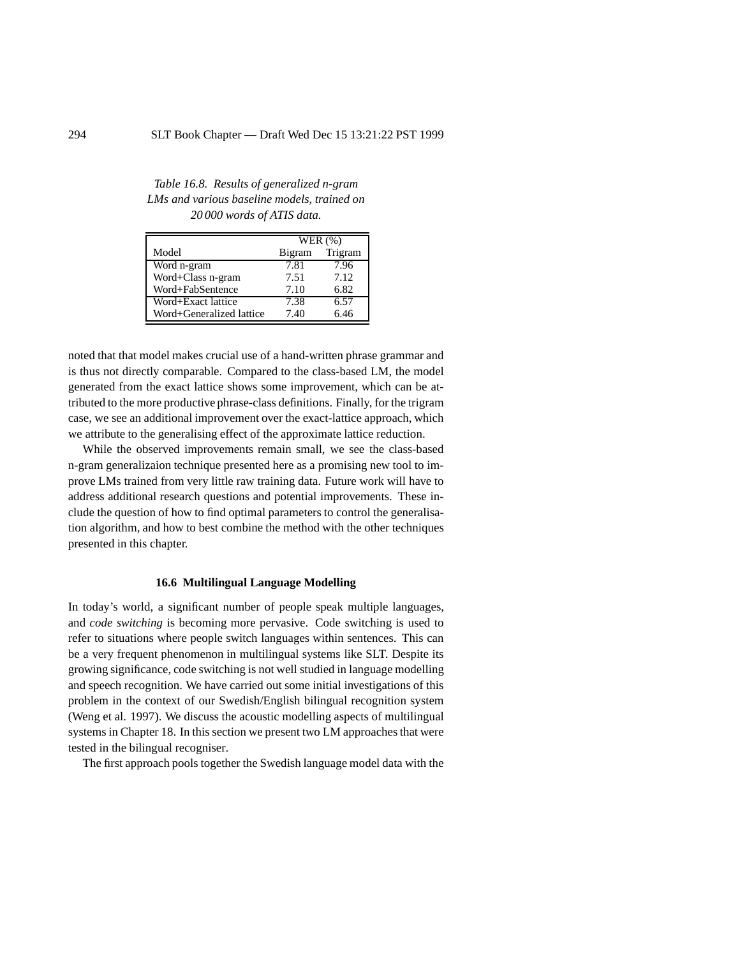*Table 16.8. Results of generalized n-gram LMs and various baseline models, trained on 20 000 words of ATIS data.*

|                          | WER $(\%)$ |         |
|--------------------------|------------|---------|
| Model                    | Bigram     | Trigram |
| Word n-gram              | 7.81       | 7.96    |
| Word+Class n-gram        | 7.51       | 7.12    |
| Word+FabSentence         | 7.10       | 6.82    |
| Word+Exact lattice       | 7.38       | 6.57    |
| Word+Generalized lattice | 7.40       | 6.46    |

noted that that model makes crucial use of a hand-written phrase grammar and is thus not directly comparable. Compared to the class-based LM, the model generated from the exact lattice shows some improvement, which can be attributed to the more productive phrase-class definitions. Finally, for the trigram case, we see an additional improvement over the exact-lattice approach, which we attribute to the generalising effect of the approximate lattice reduction.

While the observed improvements remain small, we see the class-based n-gram generalizaion technique presented here as a promising new tool to improve LMs trained from very little raw training data. Future work will have to address additional research questions and potential improvements. These include the question of how to find optimal parameters to control the generalisation algorithm, and how to best combine the method with the other techniques presented in this chapter.

#### **16.6 Multilingual Language Modelling**

In today's world, a significant number of people speak multiple languages, and *code switching* is becoming more pervasive. Code switching is used to refer to situations where people switch languages within sentences. This can be a very frequent phenomenon in multilingual systems like SLT. Despite its growing significance, code switching is not well studied in language modelling and speech recognition. We have carried out some initial investigations of this problem in the context of our Swedish/English bilingual recognition system (Weng et al. 1997). We discuss the acoustic modelling aspects of multilingual systems in Chapter 18. In this section we present two LM approaches that were tested in the bilingual recogniser.

The first approach pools together the Swedish language model data with the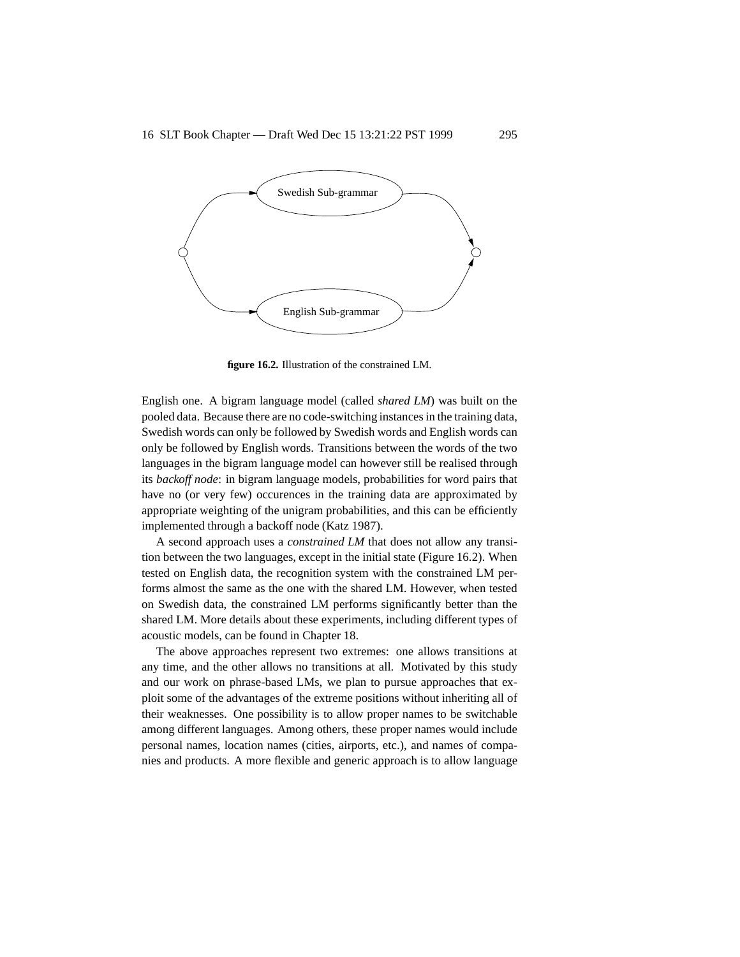

**figure 16.2.** Illustration of the constrained LM.

English one. A bigram language model (called *shared LM*) was built on the pooled data. Because there are no code-switching instances in the training data, Swedish words can only be followed by Swedish words and English words can only be followed by English words. Transitions between the words of the two languages in the bigram language model can however still be realised through its *backoff node*: in bigram language models, probabilities for word pairs that have no (or very few) occurences in the training data are approximated by appropriate weighting of the unigram probabilities, and this can be efficiently implemented through a backoff node (Katz 1987).

A second approach uses a *constrained LM* that does not allow any transition between the two languages, except in the initial state (Figure 16.2). When tested on English data, the recognition system with the constrained LM performs almost the same as the one with the shared LM. However, when tested on Swedish data, the constrained LM performs significantly better than the shared LM. More details about these experiments, including different types of acoustic models, can be found in Chapter 18.

The above approaches represent two extremes: one allows transitions at any time, and the other allows no transitions at all. Motivated by this study and our work on phrase-based LMs, we plan to pursue approaches that exploit some of the advantages of the extreme positions without inheriting all of their weaknesses. One possibility is to allow proper names to be switchable among different languages. Among others, these proper names would include personal names, location names (cities, airports, etc.), and names of companies and products. A more flexible and generic approach is to allow language